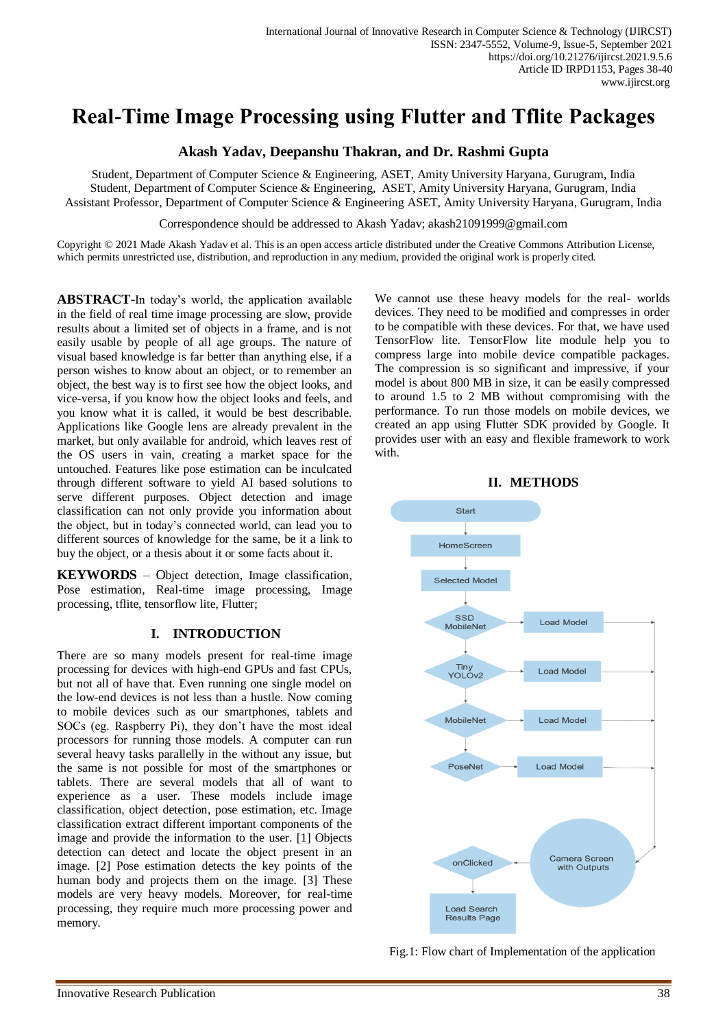# **Real-Time Image Processing using Flutter and Tflite Packages**

# **Akash Yadav, Deepanshu Thakran, and Dr. Rashmi Gupta**

Student, Department of Computer Science & Engineering, ASET, Amity University Haryana, Gurugram, India Student, Department of Computer Science & Engineering, ASET, Amity University Haryana, Gurugram, India Assistant Professor, Department of Computer Science & Engineering ASET, Amity University Haryana, Gurugram, India

Correspondence should be addressed to Akash Yadav; akash21091999@gmail.com

Copyright © 2021 Made Akash Yadav et al. This is an open access article distributed under the Creative Commons Attribution License, which permits unrestricted use, distribution, and reproduction in any medium, provided the original work is properly cited.

**ABSTRACT**-In today's world, the application available in the field of real time image processing are slow, provide results about a limited set of objects in a frame, and is not easily usable by people of all age groups. The nature of visual based knowledge is far better than anything else, if a person wishes to know about an object, or to remember an object, the best way is to first see how the object looks, and vice-versa, if you know how the object looks and feels, and you know what it is called, it would be best describable. Applications like Google lens are already prevalent in the market, but only available for android, which leaves rest of the OS users in vain, creating a market space for the untouched. Features like pose estimation can be inculcated through different software to yield AI based solutions to serve different purposes. Object detection and image classification can not only provide you information about the object, but in today's connected world, can lead you to different sources of knowledge for the same, be it a link to buy the object, or a thesis about it or some facts about it.

**KEYWORDS** – Object detection, Image classification, Pose estimation, Real-time image processing, Image processing, tflite, tensorflow lite, Flutter;

# **I. INTRODUCTION**

There are so many models present for real-time image processing for devices with high-end GPUs and fast CPUs, but not all of have that. Even running one single model on the low-end devices is not less than a hustle. Now coming to mobile devices such as our smartphones, tablets and SOCs (eg. Raspberry Pi), they don't have the most ideal processors for running those models. A computer can run several heavy tasks parallelly in the without any issue, but the same is not possible for most of the smartphones or tablets. There are several models that all of want to experience as a user. These models include image classification, object detection, pose estimation, etc. Image classification extract different important components of the image and provide the information to the user. [1] Objects detection can detect and locate the object present in an image. [2] Pose estimation detects the key points of the human body and projects them on the image. [3] These models are very heavy models. Moreover, for real-time processing, they require much more processing power and memory.

We cannot use these heavy models for the real- worlds devices. They need to be modified and compresses in order to be compatible with these devices. For that, we have used TensorFlow lite. TensorFlow lite module help you to compress large into mobile device compatible packages. The compression is so significant and impressive, if your model is about 800 MB in size, it can be easily compressed to around 1.5 to 2 MB without compromising with the performance. To run those models on mobile devices, we created an app using Flutter SDK provided by Google. It provides user with an easy and flexible framework to work with.



Fig.1: Flow chart of Implementation of the application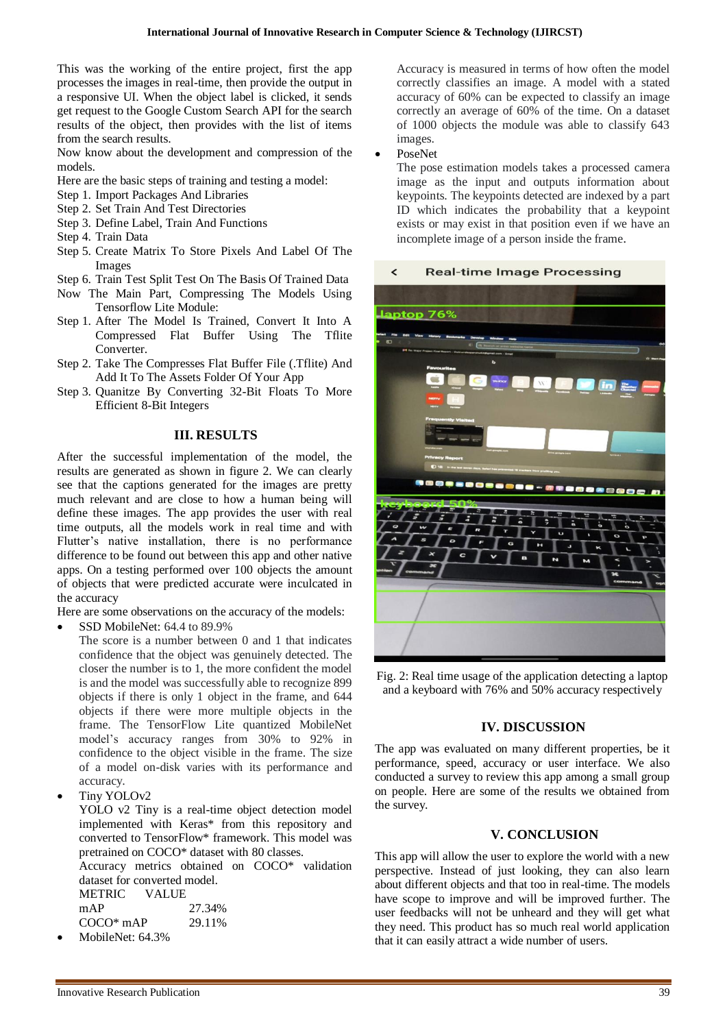This was the working of the entire project, first the app processes the images in real-time, then provide the output in a responsive UI. When the object label is clicked, it sends get request to the Google Custom Search API for the search results of the object, then provides with the list of items from the search results.

Now know about the development and compression of the models.

- Here are the basic steps of training and testing a model:
- Step 1. Import Packages And Libraries
- Step 2. Set Train And Test Directories
- Step 3. Define Label, Train And Functions
- Step 4. Train Data
- Step 5. Create Matrix To Store Pixels And Label Of The Images
- Step 6. Train Test Split Test On The Basis Of Trained Data
- Now The Main Part, Compressing The Models Using Tensorflow Lite Module:
- Step 1. After The Model Is Trained, Convert It Into A Compressed Flat Buffer Using The Tflite Converter.
- Step 2. Take The Compresses Flat Buffer File (.Tflite) And Add It To The Assets Folder Of Your App
- Step 3. Quanitze By Converting 32-Bit Floats To More Efficient 8-Bit Integers

### **III. RESULTS**

After the successful implementation of the model, the results are generated as shown in figure 2. We can clearly see that the captions generated for the images are pretty much relevant and are close to how a human being will define these images. The app provides the user with real time outputs, all the models work in real time and with Flutter's native installation, there is no performance difference to be found out between this app and other native apps. On a testing performed over 100 objects the amount of objects that were predicted accurate were inculcated in the accuracy

Here are some observations on the accuracy of the models:

SSD MobileNet: 64.4 to 89.9%

The score is a number between 0 and 1 that indicates confidence that the object was genuinely detected. The closer the number is to 1, the more confident the model is and the model was successfully able to recognize 899 objects if there is only 1 object in the frame, and 644 objects if there were more multiple objects in the frame. The TensorFlow Lite quantized MobileNet model's accuracy ranges from 30% to 92% in confidence to the object visible in the frame. The size of a model on-disk varies with its performance and accuracy.

Tiny YOLOv2

YOLO v2 Tiny is a real-time object detection model implemented with Keras\* from this repository and converted to TensorFlow\* framework. This model was pretrained on COCO\* dataset with 80 classes.

Accuracy metrics obtained on COCO\* validation dataset for converted model. METRIC VALUE mAP 27.34%

| ШАГ         | 21.3470 |
|-------------|---------|
| $COCO*$ mAP | 29.11\% |
|             |         |

MobileNet: 64.3%

Accuracy is measured in terms of how often the model correctly classifies an image. A model with a stated accuracy of 60% can be expected to classify an image correctly an average of 60% of the time. On a dataset of 1000 objects the module was able to classify 643 images.

PoseNet

The pose estimation models takes a processed camera image as the input and outputs information about keypoints. The keypoints detected are indexed by a part ID which indicates the probability that a keypoint exists or may exist in that position even if we have an incomplete image of a person inside the frame.

#### **Real-time Image Processing**  $\overline{\phantom{a}}$



Fig. 2: Real time usage of the application detecting a laptop and a keyboard with 76% and 50% accuracy respectively

# **IV. DISCUSSION**

The app was evaluated on many different properties, be it performance, speed, accuracy or user interface. We also conducted a survey to review this app among a small group on people. Here are some of the results we obtained from the survey.

# **V. CONCLUSION**

This app will allow the user to explore the world with a new perspective. Instead of just looking, they can also learn about different objects and that too in real-time. The models have scope to improve and will be improved further. The user feedbacks will not be unheard and they will get what they need. This product has so much real world application that it can easily attract a wide number of users.